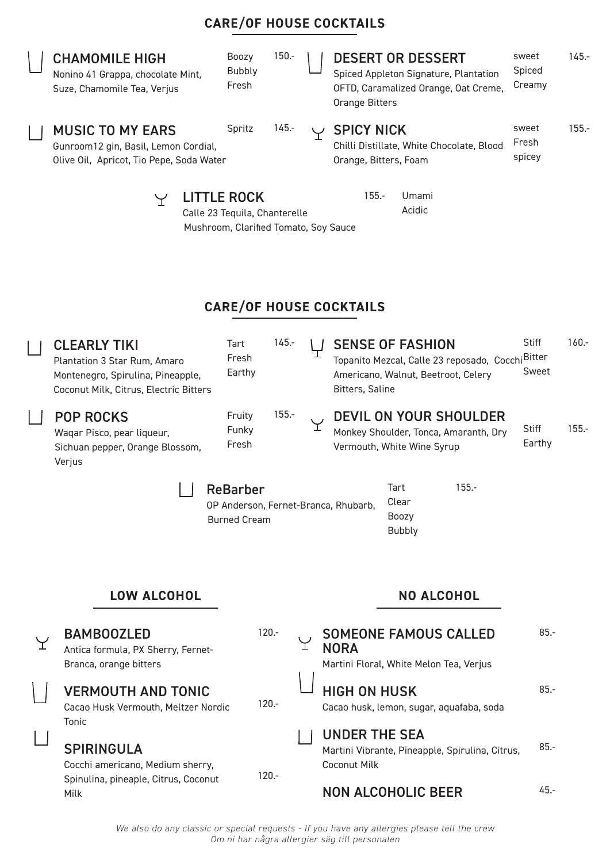## Boozy 150.- DESERT OR DESSERT sweet 145.- CHAMOMILE HIGH Spiced Bubbly Nonino 41 Grappa, chocolate Mint, Spiced Appleton Signature, Plantation Fresh Creamy Suze, Chamomile Tea, Verjus OFTD, Caramalized Orange, Oat Creme, Orange Bitters 145. sweet Spritz 155.- MUSIC TO MY EARS SPICY NICK Fresh Chilli Distillate, White Chocolate, Blood Gunroom12 gin, Basil, Lemon Cordial, spicey Olive Oil, Apricot, Tio Pepe, Soda Water Orange, Bitters, Foam 155.- Umami Y LITTLE ROCK AcidicCalle 23 Tequila, Chanterelle Mushroom, Clarified Tomato, Soy Sauce **CARE/OF HOUSE COCKTAILS** 145.- **Stiff** 160.- Tart CLEARLY TIKI SENSE OF FASHION Fresh Topanito Mezcal, Calle 23 reposado, Cocchi <sup>Bitter</sup> Plantation 3 Star Rum, Amaro Sweet Earthy Americano, Walnut, Beetroot, Celery Montenegro, Spirulina, Pineapple, Bitters, Saline Coconut Milk, Citrus, Electric Bitters 155.- Fruity DEVIL ON YOUR SHOULDER POP ROCKS Υ **Stiff** 155.- Funky Monkey Shoulder, Tonca, Amaranth, Dry Waqar Pisco, pear liqueur, Earthy Fresh Sichuan pepper, Orange Blossom, Vermouth, White Wine Syrup Verjus Tart 155.- ReBarber Clear OP Anderson, Fernet-Branca, Rhubarb, Boozy Burned Cream Bubbly **LOW ALCOHOL NO ALCOHOL** 120.- SOMEONE FAMOUS CALLED 85.- BAMBOOZLED Υ Y. NORA Antica formula, PX Sherry, Fernet-Martini Floral, White Melon Tea, Verjus Branca, orange bitters VERMOUTH AND TONIC HIGH ON HUSK 85.- 120.- Cacao Husk Vermouth, Meltzer Nordic Cacao husk, lemon, sugar, aquafaba, soda Tonic UNDER THE SEA SPIRINGULA 85.- Martini Vibrante, Pineapple, Spirulina, Citrus,

**CARE/OF HOUSE COCKTAILS**

Cocchi americano, Medium sherry, Spinulina, pineaple, Citrus, Coconut Milk

120.-

## *We also do any classic or special requests - If you have any allergies please tell the crew Om ni har några allergier säg till personalen*

Coconut Milk

NON ALCOHOLIC BEER

45.-